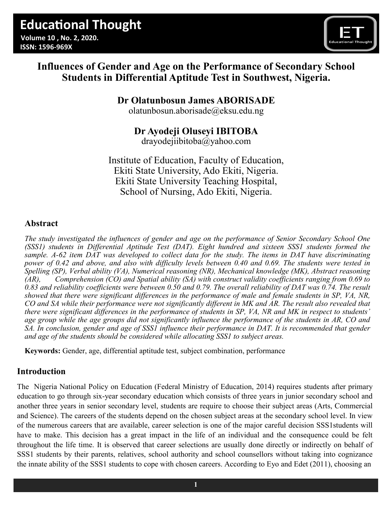

# **Influences of Gender and Age on the Performance of Secondary School Students in Differential Aptitude Test in Southwest, Nigeria.**

# **Dr Olatunbosun James ABORISADE**

[olatunbosun.aborisade@eksu.edu.ng](mailto:olatunbosun.aborisade@eksu.edu.ng)

# **Dr Ayodeji Oluseyi IBITOBA**

drayodejiibitoba@yahoo.com

Institute of Education, Faculty of Education, Ekiti State University, Ado Ekiti, Nigeria. Ekiti State University Teaching Hospital, School of Nursing, Ado Ekiti, Nigeria.

# **Abstract**

*The study investigated the influences of gender and age on the performance of Senior Secondary School One (SSS1) students in Differential Aptitude Test (DAT). Eight hundred and sixteen SSS1 students formed the sample. A-62 item DAT was developed to collect data for the study. The items in DAT have discriminating power of 0.42 and above, and also with difficulty levels between 0.40 and 0.69. The students were tested in Spelling (SP), Verbal ability (VA), Numerical reasoning (NR), Mechanical knowledge (MK), Abstract reasoning (AR), Comprehension (CO) and Spatial ability (SA) with construct validity coefficients ranging from 0.69 to*  0.83 and reliability coefficients were between 0.50 and 0.79. The overall reliability of DAT was 0.74. The result *showed that there were significant differences in the performance of male and female students in SP, VA, NR, CO and SA while their performance were not significantly different in MK and AR. The result also revealed that there were significant differences in the performance of students in SP, VA, NR and MK in respect to students' age group while the age groups did not significantly influence the performance of the students in AR, CO and SA. In conclusion, gender and age of SSS1 influence their performance in DAT. It is recommended that gender and age of the students should be considered while allocating SSS1 to subject areas.*

**Keywords:** Gender, age, differential aptitude test, subject combination, performance

# **Introduction**

The Nigeria National Policy on Education (Federal Ministry of Education, 2014) requires students after primary education to go through six-year secondary education which consists of three years in junior secondary school and another three years in senior secondary level, students are require to choose their subject areas (Arts, Commercial and Science). The careers of the students depend on the chosen subject areas at the secondary school level. In view of the numerous careers that are available, career selection is one of the major careful decision SSS1students will have to make. This decision has a great impact in the life of an individual and the consequence could be felt throughout the life time. It is observed that career selections are usually done directly or indirectly on behalf of SSS1 students by their parents, relatives, school authority and school counsellors without taking into cognizance the innate ability of the SSS1 students to cope with chosen careers. According to Eyo and Edet (2011), choosing an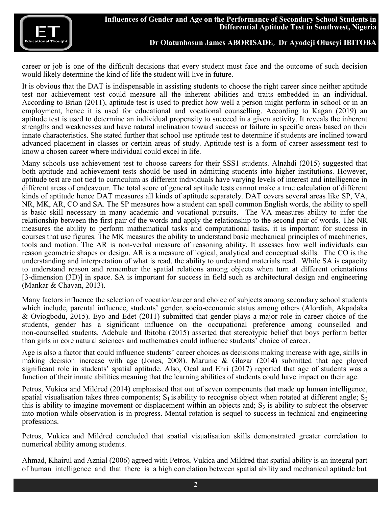

career or job is one of the difficult decisions that every student must face and the outcome of such decision would likely determine the kind of life the student will live in future.

It is obvious that the DAT is indispensable in assisting students to choose the right career since neither aptitude test nor achievement test could measure all the inherent abilities and traits embedded in an individual. According to Brian (2011), aptitude test is used to predict how well a person might perform in school or in an employment, hence it is used for educational and vocational counselling. According to Kagan (2019) an aptitude test is used to determine an individual propensity to succeed in a given activity. It reveals the inherent strengths and weaknesses and have natural inclination toward success or failure in specific areas based on their innate characteristics. She stated further that school use aptitude test to determine if students are inclined toward advanced placement in classes or certain areas of study. Aptitude test is a form of career assessment test to know a chosen career where individual could excel in life.

Many schools use achievement test to choose careers for their SSS1 students. Alnahdi (2015) suggested that both aptitude and achievement tests should be used in admitting students into higher institutions. However, aptitude test are not tied to curriculum as different individuals have varying levels of interest and intelligence in different areas of endeavour. The total score of general aptitude tests cannot make a true calculation of different kinds of aptitude hence DAT measures all kinds of aptitude separately. DAT covers several areas like SP, VA, NR, MK, AR, CO and SA. The SP measures how a student can spell common English words, the ability to spell is basic skill necessary in many academic and vocational pursuits. The VA measures ability to infer the relationship between the first pair of the words and apply the relationship to the second pair of words. The NR measures the ability to perform mathematical tasks and computational tasks, it is important for success in courses that use figures. The MK measures the ability to understand basic mechanical principles of machineries, tools and motion. The AR is non-verbal measure of reasoning ability. It assesses how well individuals can reason geometric shapes or design. AR is a measure of logical, analytical and conceptual skills. The CO is the understanding and interpretation of what is read, the ability to understand materials read. While SA is capacity to understand reason and remember the spatial relations among objects when turn at different orientations [3-dimension (3D)] in space. SA is important for success in field such as architectural design and engineering (Mankar & Chavan, 2013).

Many factors influence the selection of vocation/career and choice of subjects among secondary school students which include, parental influence, students' gender, socio-economic status among others (Alordiah, Akpadaka & Oviogbodu, 2015). Eyo and Edet (2011) submitted that gender plays a major role in career choice of the students, gender has a significant influence on the occupational preference among counselled and non-counselled students. Adebule and Ibitoba (2015) asserted that stereotypic belief that boys perform better than girls in core natural sciences and mathematics could influence students' choice of career.

Age is also a factor that could influence students' career choices as decisions making increase with age, skills in making decision increase with age (Jones, 2008). Marunic & Glazar (2014) submitted that age played significant role in students' spatial aptitude. Also, Ocal and Ehri (2017) reported that age of students was a function of their innate abilities meaning that the learning abilities of students could have impact on their age.

Petros, Vukica and Mildred (2014) emphasised that out of seven components that made up human intelligence, spatial visualisation takes three components;  $S_1$  is ability to recognise object when rotated at different angle;  $S_2$ this is ability to imagine movement or displacement within an objects and;  $S_3$  is ability to subject the observer into motion while observation is in progress. Mental rotation is sequel to success in technical and engineering professions.

Petros, Vukica and Mildred concluded that spatial visualisation skills demonstrated greater correlation to numerical ability among students.

Ahmad, Khairul and Aznial (2006) agreed with Petros, Vukica and Mildred that spatial ability is an integral part of human intelligence and that there is a high correlation between spatial ability and mechanical aptitude but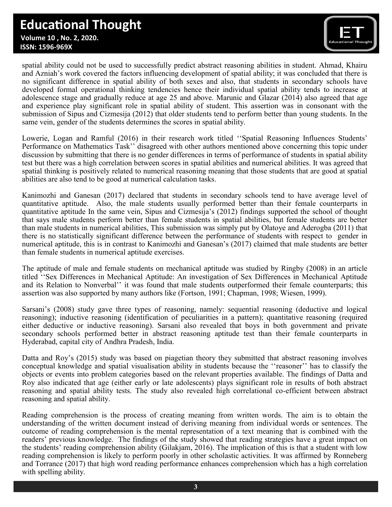# **Educational Thought**

 **Volume 10 , No. 2, 2020. ISSN: 1596-969X**



spatial ability could not be used to successfully predict abstract reasoning abilities in student. Ahmad, Khairu and Azniah's work covered the factors influencing development of spatial ability; it was concluded that there is no significant difference in spatial ability of both sexes and also, that students in secondary schools have developed formal operational thinking tendencies hence their individual spatial ability tends to increase at adolescence stage and gradually reduce at age 25 and above. Marunic and Glazar (2014) also agreed that age and experience play significant role in spatial ability of student. This assertion was in consonant with the submission of Sipus and Cizmesija (2012) that older students tend to perform better than young students. In the same vein, gender of the students determines the scores in spatial ability.

Lowerie, Logan and Ramful (2016) in their research work titled ''Spatial Reasoning Influences Students' Performance on Mathematics Task'' disagreed with other authors mentioned above concerning this topic under discussion by submitting that there is no gender differences in terms of performance of students in spatial ability test but there was a high correlation between scores in spatial abilities and numerical abilities. It was agreed that spatial thinking is positively related to numerical reasoning meaning that those students that are good at spatial abilities are also tend to be good at numerical calculation tasks.

Kanimozhi and Ganesan (2017) declared that students in secondary schools tend to have average level of quantitative aptitude. Also, the male students usually performed better than their female counterparts in quantitative aptitude In the same vein, Sipus and Cizmesija's (2012) findings supported the school of thought that says male students perform better than female students in spatial abilities, but female students are better than male students in numerical abilities, This submission was simply put by Olatoye and Aderogba (2011) that there is no statistically significant difference between the performance of students with respect to gender in numerical aptitude, this is in contrast to Kanimozhi and Ganesan's (2017) claimed that male students are better than female students in numerical aptitude exercises.

The aptitude of male and female students on mechanical aptitude was studied by Ringby (2008) in an article titled ''Sex Differences in Mechanical Aptitude: An investigation of Sex Differences in Mechanical Aptitude and its Relation to Nonverbal'' it was found that male students outperformed their female counterparts; this assertion was also supported by many authors like (Fortson, 1991; Chapman, 1998; Wiesen, 1999).

Sarsani's (2008) study gave three types of reasoning, namely: sequential reasoning (deductive and logical reasoning); inductive reasoning (identification of peculiarities in a pattern); quantitative reasoning (required either deductive or inductive reasoning). Sarsani also revealed that boys in both government and private secondary schools performed better in abstract reasoning aptitude test than their female counterparts in Hyderabad, capital city of Andhra Pradesh, India.

Datta and Roy's (2015) study was based on piagetian theory they submitted that abstract reasoning involves conceptual knowledge and spatial visualisation ability in students because the ''reasoner'' has to classify the objects or events into problem categories based on the relevant properties available. The findings of Datta and Roy also indicated that age (either early or late adolescents) plays significant role in results of both abstract reasoning and spatial ability tests. The study also revealed high correlational co-efficient between abstract reasoning and spatial ability.

Reading comprehension is the process of creating meaning from written words. The aim is to obtain the understanding of the written document instead of deriving meaning from individual words or sentences. The outcome of reading comprehension is the mental representation of a text meaning that is combined with the readers' previous knowledge. The findings of the study showed that reading strategies have a great impact on the students' reading comprehension ability (Gilakjam, 2016). The implication of this is that a student with low reading comprehension is likely to perform poorly in other scholastic activities. It was affirmed by Ronneberg and Torrance (2017) that high word reading performance enhances comprehension which has a high correlation with spelling ability.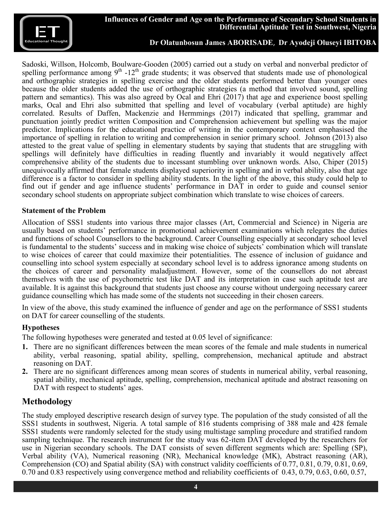

Sadoski, Willson, Holcomb, Boulware-Gooden (2005) carried out a study on verbal and nonverbal predictor of spelling performance among  $9<sup>th</sup> - 12<sup>th</sup>$  grade students; it was observed that students made use of phonological and orthographic strategies in spelling exercise and the older students performed better than younger ones because the older students added the use of orthographic strategies (a method that involved sound, spelling pattern and semantics). This was also agreed by Ocal and Ehri (2017) that age and experience boost spelling marks, Ocal and Ehri also submitted that spelling and level of vocabulary (verbal aptitude) are highly correlated. Results of Daffen, Mackenzie and Hermmings (2017) indicated that spelling, grammar and punctuation jointly predict written Composition and Comprehension achievement but spelling was the major predictor. Implications for the educational practice of writing in the contemporary context emphasised the importance of spelling in relation to writing and comprehension in senior primary school. Johnson (2013) also attested to the great value of spelling in elementary students by saying that students that are struggling with spellings will definitely have difficulties in reading fluently and invariably it would negatively affect comprehensive ability of the students due to incessant stumbling over unknown words. Also, Chiper (2015) unequivocally affirmed that female students displayed superiority in spelling and in verbal ability, also that age difference is a factor to consider in spelling ability students. In the light of the above, this study could help to find out if gender and age influence students' performance in DAT in order to guide and counsel senior secondary school students on appropriate subject combination which translate to wise choices of careers.

#### **Statement of the Problem**

Allocation of SSS1 students into various three major classes (Art, Commercial and Science) in Nigeria are usually based on students' performance in promotional achievement examinations which relegates the duties and functions of school Counsellors to the background. Career Counselling especially at secondary school level is fundamental to the students' success and in making wise choice of subjects' combination which will translate to wise choices of career that could maximize their potentialities. The essence of inclusion of guidance and counselling into school system especially at secondary school level is to address ignorance among students on the choices of career and personality maladjustment. However, some of the counsellors do not abreast themselves with the use of psychometric test like DAT and its interpretation in case such aptitude test are available. It is against this background that students just choose any course without undergoing necessary career guidance counselling which has made some of the students not succeeding in their chosen careers.

In view of the above, this study examined the influence of gender and age on the performance of SSS1 students on DAT for career counselling of the students.

#### **Hypotheses**

The following hypotheses were generated and tested at 0.05 level of significance:

- **1.** There are no significant differences between the mean scores of the female and male students in numerical ability, verbal reasoning, spatial ability, spelling, comprehension, mechanical aptitude and abstract reasoning on DAT.
- **2.** There are no significant differences among mean scores of students in numerical ability, verbal reasoning, spatial ability, mechanical aptitude, spelling, comprehension, mechanical aptitude and abstract reasoning on DAT with respect to students' ages.

## **Methodology**

The study employed descriptive research design of survey type. The population of the study consisted of all the SSS1 students in southwest, Nigeria. A total sample of 816 students comprising of 388 male and 428 female SSS1 students were randomly selected for the study using multistage sampling procedure and stratified random sampling technique. The research instrument for the study was 62-item DAT developed by the researchers for use in Nigerian secondary schools. The DAT consists of seven different segments which are: Spelling (SP), Verbal ability (VA), Numerical reasoning (NR), Mechanical knowledge (MK), Abstract reasoning (AR), Comprehension (CO) and Spatial ability (SA) with construct validity coefficients of 0.77, 0.81, 0.79, 0.81, 0.69, 0.70 and 0.83 respectively using convergence method and reliability coefficients of 0.43, 0.79, 0.63, 0.60, 0.57,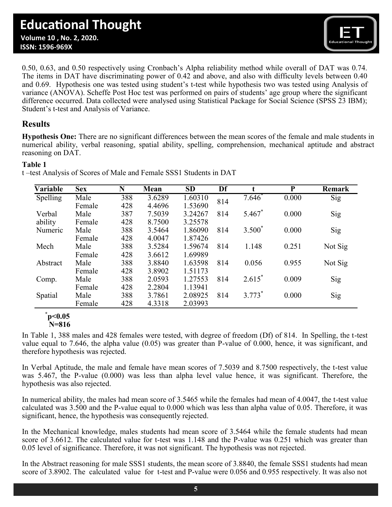0.50, 0.63, and 0.50 respectively using Cronbach's Alpha reliability method while overall of DAT was 0.74. The items in DAT have discriminating power of 0.42 and above, and also with difficulty levels between 0.40 and 0.69. Hypothesis one was tested using student's t-test while hypothesis two was tested using Analysis of variance (ANOVA). Scheffe Post Hoc test was performed on pairs of students' age group where the significant difference occurred. Data collected were analysed using Statistical Package for Social Science (SPSS 23 IBM); Student's t-test and Analysis of Variance.

## **Results**

 **ISSN: 1596-969X**

**Hypothesis One:** There are no significant differences between the mean scores of the female and male students in numerical ability, verbal reasoning, spatial ability, spelling, comprehension, mechanical aptitude and abstract reasoning on DAT.

## **Table 1**

| Variable | <b>Sex</b> | N   | Mean   | <b>SD</b> | Df  |           | ${\bf P}$ | Remark  |
|----------|------------|-----|--------|-----------|-----|-----------|-----------|---------|
| Spelling | Male       | 388 | 3.6289 | 1.60310   | 814 | $7.646^*$ | 0.000     | Sig     |
|          | Female     | 428 | 4.4696 | 1.53690   |     |           |           |         |
| Verbal   | Male       | 387 | 7.5039 | 3.24267   | 814 | $5.467*$  | 0.000     | Sig     |
| ability  | Female     | 428 | 8.7500 | 3.25578   |     |           |           |         |
| Numeric  | Male       | 388 | 3.5464 | 1.86090   | 814 | $3.500*$  | 0.000     | Sig     |
|          | Female     | 428 | 4.0047 | 1.87426   |     |           |           |         |
| Mech     | Male       | 388 | 3.5284 | 1.59674   | 814 | 1.148     | 0.251     | Not Sig |
|          | Female     | 428 | 3.6612 | 1.69989   |     |           |           |         |
| Abstract | Male       | 388 | 3.8840 | 1.63598   | 814 | 0.056     | 0.955     | Not Sig |
|          | Female     | 428 | 3.8902 | 1.51173   |     |           |           |         |
| Comp.    | Male       | 388 | 2.0593 | 1.27553   | 814 | $2.615*$  | 0.009     | Sig     |
|          | Female     | 428 | 2.2804 | 1.13941   |     |           |           |         |
| Spatial  | Male       | 388 | 3.7861 | 2.08925   | 814 | $3.773*$  | 0.000     | Sig     |
|          | Female     | 428 | 4.3318 | 2.03993   |     |           |           |         |

t –test Analysis of Scores of Male and Female SSS1 Students in DAT

#### **\* p<0.05 N=816**

In Table 1, 388 males and 428 females were tested, with degree of freedom (Df) of 814. In Spelling, the t-test value equal to 7.646, the alpha value (0.05) was greater than P-value of 0.000, hence, it was significant, and therefore hypothesis was rejected.

In Verbal Aptitude, the male and female have mean scores of 7.5039 and 8.7500 respectively, the t-test value was 5.467, the P-value (0.000) was less than alpha level value hence, it was significant. Therefore, the hypothesis was also rejected.

In numerical ability, the males had mean score of 3.5465 while the females had mean of 4.0047, the t-test value calculated was 3.500 and the P-value equal to 0.000 which was less than alpha value of 0.05. Therefore, it was significant, hence, the hypothesis was consequently rejected.

In the Mechanical knowledge, males students had mean score of 3.5464 while the female students had mean score of 3.6612. The calculated value for t-test was 1.148 and the P-value was 0.251 which was greater than 0.05 level of significance. Therefore, it was not significant. The hypothesis was not rejected.

In the Abstract reasoning for male SSS1 students, the mean score of 3.8840, the female SSS1 students had mean score of 3.8902. The calculated value for t-test and P-value were 0.056 and 0.955 respectively. It was also not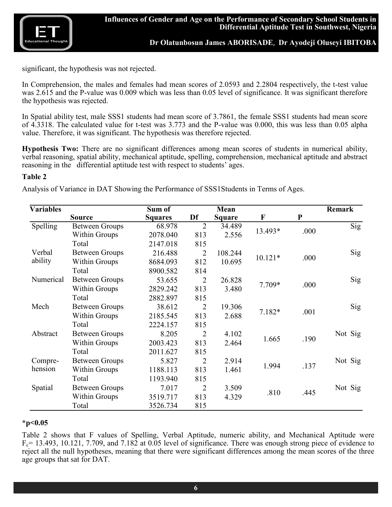

significant, the hypothesis was not rejected.

In Comprehension, the males and females had mean scores of 2.0593 and 2.2804 respectively, the t-test value was 2.615 and the P-value was 0.009 which was less than 0.05 level of significance. It was significant therefore the hypothesis was rejected.

In Spatial ability test, male SSS1 students had mean score of 3.7861, the female SSS1 students had mean score of 4.3318. The calculated value for t-test was 3.773 and the P-value was 0.000, this was less than 0.05 alpha value. Therefore, it was significant. The hypothesis was therefore rejected.

**Hypothesis Two:** There are no significant differences among mean scores of students in numerical ability, verbal reasoning, spatial ability, mechanical aptitude, spelling, comprehension, mechanical aptitude and abstract reasoning in the differential aptitude test with respect to students' ages.

#### **Table 2**

Analysis of Variance in DAT Showing the Performance of SSS1Students in Terms of Ages.

| <b>Variables</b> |                       | Sum of         |                | Mean          |           |           | <b>Remark</b> |
|------------------|-----------------------|----------------|----------------|---------------|-----------|-----------|---------------|
|                  | <b>Source</b>         | <b>Squares</b> | Df             | <b>Square</b> | F         | ${\bf P}$ |               |
| Spelling         | <b>Between Groups</b> | 68.978         | $\overline{2}$ | 34.489        |           |           | Sig           |
|                  | <b>Within Groups</b>  | 2078.040       | 813            | 2.556         | 13.493*   | .000      |               |
|                  | Total                 | 2147.018       | 815            |               |           |           |               |
| Verbal           | <b>Between Groups</b> | 216.488        | $\overline{2}$ | 108.244       |           |           | Sig           |
| ability          | <b>Within Groups</b>  | 8684.093       | 812            | 10.695        | $10.121*$ | .000      |               |
|                  | Total                 | 8900.582       | 814            |               |           |           |               |
| Numerical        | <b>Between Groups</b> | 53.655         | $\overline{2}$ | 26.828        |           |           | Sig           |
|                  | <b>Within Groups</b>  | 2829.242       | 813            | 3.480         | 7.709*    | .000      |               |
|                  | Total                 | 2882.897       | 815            |               |           |           |               |
| Mech             | <b>Between Groups</b> | 38.612         | $\overline{2}$ | 19.306        |           |           | Sig           |
|                  | <b>Within Groups</b>  | 2185.545       | 813            | 2.688         | $7.182*$  | .001      |               |
|                  | Total                 | 2224.157       | 815            |               |           |           |               |
| Abstract         | <b>Between Groups</b> | 8.205          | $\overline{2}$ | 4.102         |           |           | Not Sig       |
|                  | <b>Within Groups</b>  | 2003.423       | 813            | 2.464         | 1.665     | .190      |               |
|                  | Total                 | 2011.627       | 815            |               |           |           |               |
| Compre-          | <b>Between Groups</b> | 5.827          | $\overline{2}$ | 2.914         |           |           | Not Sig       |
| hension          | <b>Within Groups</b>  | 1188.113       | 813            | 1.461         | 1.994     | .137      |               |
|                  | Total                 | 1193.940       | 815            |               |           |           |               |
| Spatial          | <b>Between Groups</b> | 7.017          | $\overline{2}$ | 3.509         |           |           | Not Sig       |
|                  | <b>Within Groups</b>  | 3519.717       | 813            | 4.329         | .810      | .445      |               |
|                  | Total                 | 3526.734       | 815            |               |           |           |               |

#### **\*p<0.05**

Table 2 shows that F values of Spelling, Verbal Aptitude, numeric ability, and Mechanical Aptitude were  $F_c$  = 13.493, 10.121, 7.709, and 7.182 at 0.05 level of significance. There was enough strong piece of evidence to reject all the null hypotheses, meaning that there were significant differences among the mean scores of the three age groups that sat for DAT.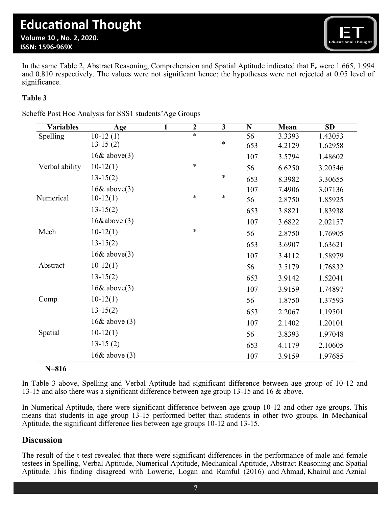

In the same Table 2, Abstract Reasoning, Comprehension and Spatial Aptitude indicated that  $F_c$  were 1.665, 1.994 and 0.810 respectively. The values were not significant hence; the hypotheses were not rejected at 0.05 level of significance.

## **Table 3**

| Scheffe Post Hoc Analysis for SSS1 students' Age Groups |  |
|---------------------------------------------------------|--|
|---------------------------------------------------------|--|

| <b>Variables</b> | Age               | $\mathbf{1}$ | $\overline{2}$ | $\overline{3}$ | $\overline{\bf N}$ | Mean   | $\overline{SD}$ |
|------------------|-------------------|--------------|----------------|----------------|--------------------|--------|-----------------|
| Spelling         | $10-12(1)$        |              | $\ast$         |                | $\overline{56}$    | 3.3393 | 1.43053         |
|                  | $13-15(2)$        |              |                | ∗              | 653                | 4.2129 | 1.62958         |
|                  | $16&$ above $(3)$ |              |                |                | 107                | 3.5794 | 1.48602         |
| Verbal ability   | $10-12(1)$        |              | $\ast$         |                | 56                 | 6.6250 | 3.20546         |
|                  | $13-15(2)$        |              |                | $\ast$         | 653                | 8.3982 | 3.30655         |
|                  | 16& above(3)      |              |                |                | 107                | 7.4906 | 3.07136         |
| Numerical        | $10-12(1)$        |              | $\ast$         | ∗              | 56                 | 2.8750 | 1.85925         |
|                  | $13-15(2)$        |              |                |                | 653                | 3.8821 | 1.83938         |
|                  | 16 $\&$ above (3) |              |                |                | 107                | 3.6822 | 2.02157         |
| Mech             | $10-12(1)$        |              | $\ast$         |                | 56                 | 2.8750 | 1.76905         |
|                  | $13-15(2)$        |              |                |                | 653                | 3.6907 | 1.63621         |
|                  | $16&$ above(3)    |              |                |                | 107                | 3.4112 | 1.58979         |
| Abstract         | $10-12(1)$        |              |                |                | 56                 | 3.5179 | 1.76832         |
|                  | $13-15(2)$        |              |                |                | 653                | 3.9142 | 1.52041         |
|                  | $16&$ above(3)    |              |                |                | 107                | 3.9159 | 1.74897         |
| Comp             | $10-12(1)$        |              |                |                | 56                 | 1.8750 | 1.37593         |
|                  | $13-15(2)$        |              |                |                | 653                | 2.2067 | 1.19501         |
|                  | 16 $\&$ above (3) |              |                |                | 107                | 2.1402 | 1.20101         |
| Spatial          | $10-12(1)$        |              |                |                | 56                 | 3.8393 | 1.97048         |
|                  | $13-15(2)$        |              |                |                | 653                | 4.1179 | 2.10605         |
|                  | 16 $\&$ above (3) |              |                |                | 107                | 3.9159 | 1.97685         |

## **N=816**

In Table 3 above, Spelling and Verbal Aptitude had significant difference between age group of 10-12 and 13-15 and also there was a significant difference between age group 13-15 and 16 & above.

In Numerical Aptitude, there were significant difference between age group 10-12 and other age groups. This means that students in age group 13-15 performed better than students in other two groups. In Mechanical Aptitude, the significant difference lies between age groups 10-12 and 13-15.

## **Discussion**

The result of the t-test revealed that there were significant differences in the performance of male and female testees in Spelling, Verbal Aptitude, Numerical Aptitude, Mechanical Aptitude, Abstract Reasoning and Spatial Aptitude. This finding disagreed with Lowerie, Logan and Ramful (2016) and Ahmad, Khairul and Aznial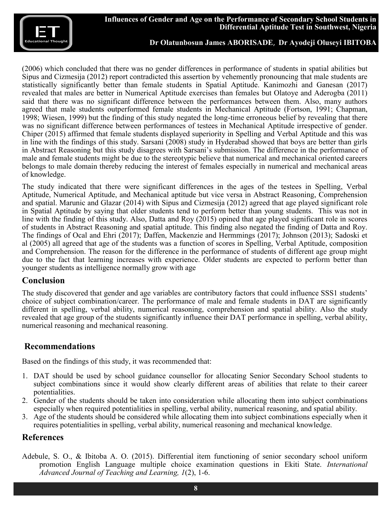(2006) which concluded that there was no gender differences in performance of students in spatial abilities but Sipus and Cizmesija (2012) report contradicted this assertion by vehemently pronouncing that male students are statistically significantly better than female students in Spatial Aptitude. Kanimozhi and Ganesan (2017) revealed that males are better in Numerical Aptitude exercises than females but Olatoye and Aderogba (2011) said that there was no significant difference between the performances between them. Also, many authors agreed that male students outperformed female students in Mechanical Aptitude (Fortson, 1991; Chapman, 1998; Wiesen, 1999) but the finding of this study negated the long-time erroneous belief by revealing that there was no significant difference between performances of testees in Mechanical Aptitude irrespective of gender. Chiper (2015) affirmed that female students displayed superiority in Spelling and Verbal Aptitude and this was in line with the findings of this study. Sarsani (2008) study in Hyderabad showed that boys are better than girls in Abstract Reasoning but this study disagrees with Sarsani's submission. The difference in the performance of male and female students might be due to the stereotypic believe that numerical and mechanical oriented careers belongs to male domain thereby reducing the interest of females especially in numerical and mechanical areas of knowledge.

The study indicated that there were significant differences in the ages of the testees in Spelling, Verbal Aptitude, Numerical Aptitude, and Mechanical aptitude but vice versa in Abstract Reasoning, Comprehension and spatial. Marunic and Glazar (2014) with Sipus and Cizmesija (2012) agreed that age played significant role in Spatial Aptitude by saying that older students tend to perform better than young students. This was not in line with the finding of this study. Also, Datta and Roy (2015) opined that age played significant role in scores of students in Abstract Reasoning and spatial aptitude. This finding also negated the finding of Datta and Roy. The findings of Ocal and Ehri (2017); Daffen, Mackenzie and Hermmings (2017); Johnson (2013); Sadoski et al (2005) all agreed that age of the students was a function of scores in Spelling, Verbal Aptitude, composition and Comprehension. The reason for the difference in the performance of students of different age group might due to the fact that learning increases with experience. Older students are expected to perform better than younger students as intelligence normally grow with age

## **Conclusion**

The study discovered that gender and age variables are contributory factors that could influence SSS1 students' choice of subject combination/career. The performance of male and female students in DAT are significantly different in spelling, verbal ability, numerical reasoning, comprehension and spatial ability. Also the study revealed that age group of the students significantly influence their DAT performance in spelling, verbal ability, numerical reasoning and mechanical reasoning.

## **Recommendations**

Based on the findings of this study, it was recommended that:

- 1. DAT should be used by school guidance counsellor for allocating Senior Secondary School students to subject combinations since it would show clearly different areas of abilities that relate to their career potentialities.
- 2. Gender of the students should be taken into consideration while allocating them into subject combinations especially when required potentialities in spelling, verbal ability, numerical reasoning, and spatial ability.
- 3. Age of the students should be considered while allocating them into subject combinations especially when it requires potentialities in spelling, verbal ability, numerical reasoning and mechanical knowledge.

# **References**

Adebule, S. O., & Ibitoba A. O. (2015). Differential item functioning of senior secondary school uniform promotion English Language multiple choice examination questions in Ekiti State. *International Advanced Journal of Teaching and Learning, 1*(2), 1-6.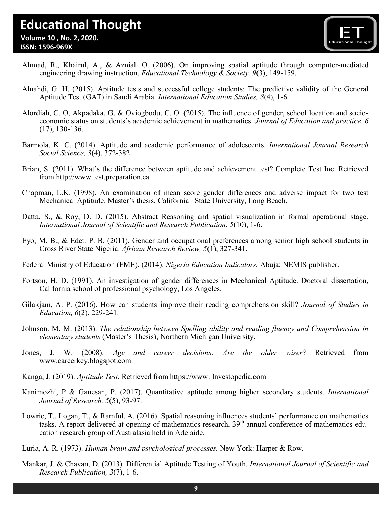# **Educational Thought**

 **Volume 10 , No. 2, 2020. ISSN: 1596-969X**



- Ahmad, R., Khairul, A., & Aznial. O. (2006). On improving spatial aptitude through computer-mediated engineering drawing instruction. *Educational Technology & Society, 9*(3), 149-159.
- Alnahdi, G. H. (2015). Aptitude tests and successful college students: The predictive validity of the General Aptitude Test (GAT) in Saudi Arabia. *International Education Studies, 8*(4), 1-6.
- Alordiah, C. O, Akpadaka, G, & Oviogbodu, C. O. (2015). The influence of gender, school location and socioeconomic status on students's academic achievement in mathematics. *Journal of Education and practice*. *6* (17), 130-136.
- Barmola, K. C. (2014). Aptitude and academic performance of adolescents. *International Journal Research Social Science, 3*(4), 372-382.
- Brian, S. (2011). What's the difference between aptitude and achievement test? Complete Test Inc. Retrieved from <http://www.test.preparation.ca>
- Chapman, L.K. (1998). An examination of mean score gender differences and adverse impact for two test Mechanical Aptitude. Master's thesis, California State University, Long Beach.
- Datta, S., & Roy, D. D. (2015). Abstract Reasoning and spatial visualization in formal operational stage. *International Journal of Scientific and Research Publication*, *5*(10), 1-6.
- Eyo, M. B., & Edet. P. B. (2011). Gender and occupational preferences among senior high school students in Cross River State Nigeria. *African Research Review, 5*(1), 327-341.
- Federal Ministry of Education (FME). (2014). *Nigeria Education Indicators.* Abuja: NEMIS publisher.
- Fortson, H. D. (1991). An investigation of gender differences in Mechanical Aptitude. Doctoral dissertation, California school of professional psychology, Los Angeles.
- Gilakjam, A. P. (2016). How can students improve their reading comprehension skill? *Journal of Studies in Education, 6*(2), 229-241.
- Johnson. M. M. (2013). *The relationship between Spelling ability and reading fluency and Comprehension in elementary students* (Master's Thesis), Northern Michigan University.
- Jones, J. W. (2008). *Age and career decisions: Are the older wiser*? Retrieved from www.careerkey.blogspot.com
- Kanga, J. (2019). *Aptitude Test.* Retrieved from [https://www.](https://www) Investopedia.com
- Kanimozhi, P & Ganesan, P. (2017). Quantitative aptitude among higher secondary students. *International Journal of Research, 5*(5), 93-97.
- Lowrie, T., Logan, T., & Ramful, A. (2016). Spatial reasoning influences students' performance on mathematics tasks. A report delivered at opening of mathematics research, 39th annual conference of mathematics education research group of Australasia held in Adelaide.
- Luria, A. R. (1973). *Human brain and psychological processes.* New York: Harper & Row.
- Mankar, J. & Chavan, D. (2013). Differential Aptitude Testing of Youth. *International Journal of Scientific and Research Publication, 3*(7), 1-6.